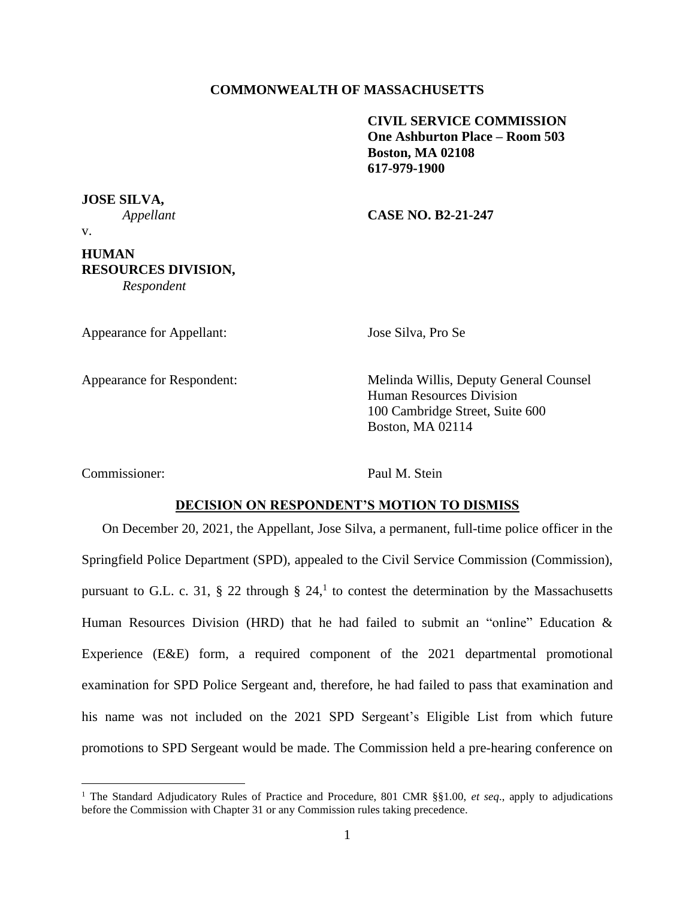## **COMMONWEALTH OF MASSACHUSETTS**

**CIVIL SERVICE COMMISSION One Ashburton Place – Room 503 Boston, MA 02108 617-979-1900**

**JOSE SILVA,**

*Appellant* **CASE NO. B2-21-247**

v.

## **HUMAN RESOURCES DIVISION,**

*Respondent*

Appearance for Appellant: Jose Silva, Pro Se

Appearance for Respondent: Melinda Willis, Deputy General Counsel Human Resources Division 100 Cambridge Street, Suite 600 Boston, MA 02114

Commissioner: Paul M. Stein

### **DECISION ON RESPONDENT'S MOTION TO DISMISS**

On December 20, 2021, the Appellant, Jose Silva, a permanent, full-time police officer in the Springfield Police Department (SPD), appealed to the Civil Service Commission (Commission), pursuant to G.L. c. 31, § 22 through § 24,<sup>1</sup> to contest the determination by the Massachusetts Human Resources Division (HRD) that he had failed to submit an "online" Education  $\&$ Experience (E&E) form, a required component of the 2021 departmental promotional examination for SPD Police Sergeant and, therefore, he had failed to pass that examination and his name was not included on the 2021 SPD Sergeant's Eligible List from which future promotions to SPD Sergeant would be made. The Commission held a pre-hearing conference on

<sup>1</sup> The Standard Adjudicatory Rules of Practice and Procedure, 801 CMR §§1.00, *et seq*., apply to adjudications before the Commission with Chapter 31 or any Commission rules taking precedence.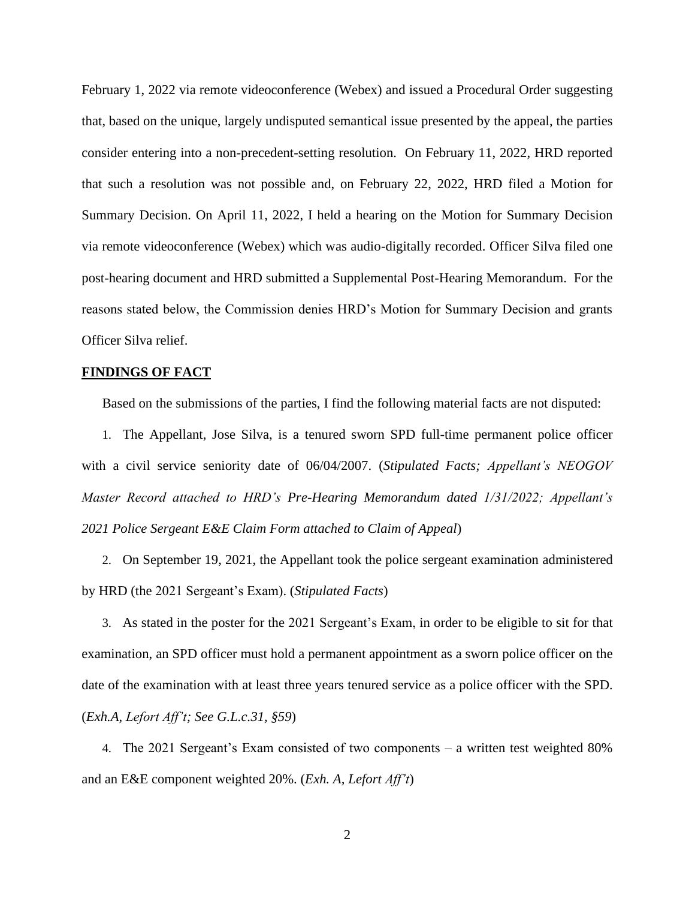February 1, 2022 via remote videoconference (Webex) and issued a Procedural Order suggesting that, based on the unique, largely undisputed semantical issue presented by the appeal, the parties consider entering into a non-precedent-setting resolution. On February 11, 2022, HRD reported that such a resolution was not possible and, on February 22, 2022, HRD filed a Motion for Summary Decision. On April 11, 2022, I held a hearing on the Motion for Summary Decision via remote videoconference (Webex) which was audio-digitally recorded. Officer Silva filed one post-hearing document and HRD submitted a Supplemental Post-Hearing Memorandum. For the reasons stated below, the Commission denies HRD's Motion for Summary Decision and grants Officer Silva relief.

### **FINDINGS OF FACT**

Based on the submissions of the parties, I find the following material facts are not disputed:

1. The Appellant, Jose Silva, is a tenured sworn SPD full-time permanent police officer with a civil service seniority date of 06/04/2007. (*Stipulated Facts; Appellant's NEOGOV Master Record attached to HRD's Pre-Hearing Memorandum dated 1/31/2022; Appellant's 2021 Police Sergeant E&E Claim Form attached to Claim of Appeal*)

2. On September 19, 2021, the Appellant took the police sergeant examination administered by HRD (the 2021 Sergeant's Exam). (*Stipulated Facts*)

3. As stated in the poster for the 2021 Sergeant's Exam, in order to be eligible to sit for that examination, an SPD officer must hold a permanent appointment as a sworn police officer on the date of the examination with at least three years tenured service as a police officer with the SPD. (*Exh.A, Lefort Aff't; See G.L.c.31, §59*)

4. The 2021 Sergeant's Exam consisted of two components – a written test weighted 80% and an E&E component weighted 20%. (*Exh. A, Lefort Aff't*)

2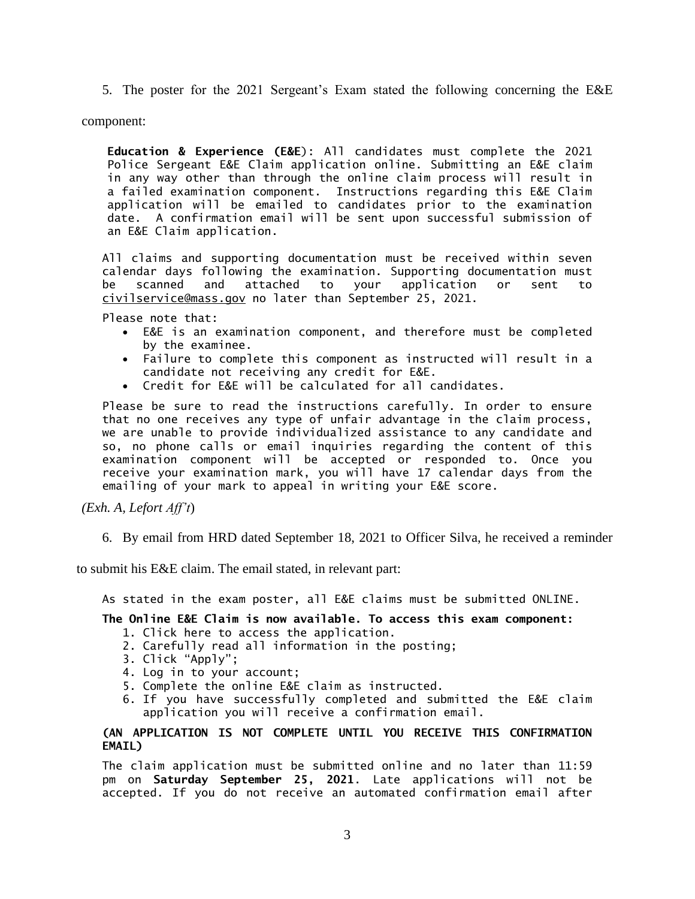5. The poster for the 2021 Sergeant's Exam stated the following concerning the E&E

component:

**Education & Experience (E&E**): All candidates must complete the 2021 Police Sergeant E&E Claim application online. Submitting an E&E claim in any way other than through the online claim process will result in a failed examination component. Instructions regarding this E&E Claim application will be emailed to candidates prior to the examination date. A confirmation email will be sent upon successful submission of an E&E Claim application.

All claims and supporting documentation must be received within seven calendar days following the examination. Supporting documentation must be scanned and attached to your application or sent to civilservice@mass.gov no later than September 25, 2021.

Please note that:

- E&E is an examination component, and therefore must be completed by the examinee.
- Failure to complete this component as instructed will result in a candidate not receiving any credit for E&E.
- Credit for E&E will be calculated for all candidates.

Please be sure to read the instructions carefully. In order to ensure that no one receives any type of unfair advantage in the claim process, we are unable to provide individualized assistance to any candidate and so, no phone calls or email inquiries regarding the content of this examination component will be accepted or responded to. Once you receive your examination mark, you will have 17 calendar days from the emailing of your mark to appeal in writing your E&E score.

*(Exh. A, Lefort Aff't*)

6. By email from HRD dated September 18, 2021 to Officer Silva, he received a reminder

to submit his E&E claim. The email stated, in relevant part:

As stated in the exam poster, all E&E claims must be submitted ONLINE.

# **The Online E&E Claim is now available. To access this exam component:**

- 1. Click here to access the application.
- 2. Carefully read all information in the posting;
- 3. Click "Apply";
- 4. Log in to your account;
- 5. Complete the online E&E claim as instructed.
- 6. If you have successfully completed and submitted the E&E claim application you will receive a confirmation email.

## **(AN APPLICATION IS NOT COMPLETE UNTIL YOU RECEIVE THIS CONFIRMATION EMAIL)**

The claim application must be submitted online and no later than 11:59 pm on **Saturday September 25, 2021**. Late applications will not be accepted. If you do not receive an automated confirmation email after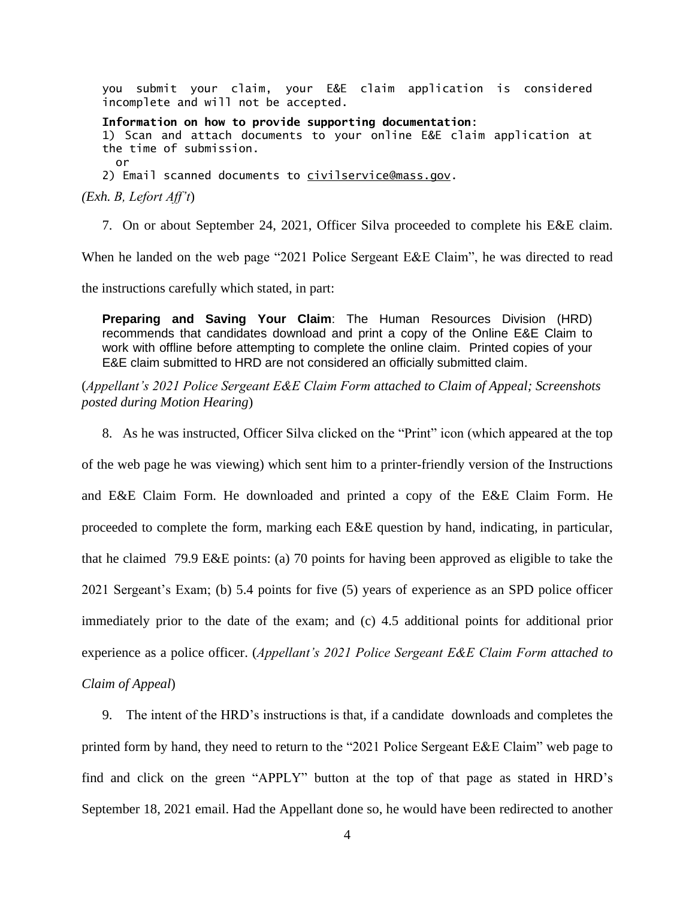you submit your claim, your E&E claim application is considered incomplete and will not be accepted.

**Information on how to provide supporting documentation**: 1) Scan and attach documents to your online E&E claim application at the time of submission. or 2) Email scanned documents to [civilservice@mass.gov.](mailto:civilservice@mass.gov)

*(Exh. B, Lefort Aff't*)

7. On or about September 24, 2021, Officer Silva proceeded to complete his E&E claim.

When he landed on the web page "2021 Police Sergeant E&E Claim", he was directed to read

the instructions carefully which stated, in part:

**Preparing and Saving Your Claim**: The Human Resources Division (HRD) recommends that candidates download and print a copy of the Online E&E Claim to work with offline before attempting to complete the online claim. Printed copies of your E&E claim submitted to HRD are not considered an officially submitted claim.

(*Appellant's 2021 Police Sergeant E&E Claim Form attached to Claim of Appeal; Screenshots posted during Motion Hearing*)

8. As he was instructed, Officer Silva clicked on the "Print" icon (which appeared at the top

of the web page he was viewing) which sent him to a printer-friendly version of the Instructions and E&E Claim Form. He downloaded and printed a copy of the E&E Claim Form. He proceeded to complete the form, marking each E&E question by hand, indicating, in particular, that he claimed 79.9 E&E points: (a) 70 points for having been approved as eligible to take the 2021 Sergeant's Exam; (b) 5.4 points for five (5) years of experience as an SPD police officer immediately prior to the date of the exam; and (c) 4.5 additional points for additional prior experience as a police officer. (*Appellant's 2021 Police Sergeant E&E Claim Form attached to Claim of Appeal*)

9. The intent of the HRD's instructions is that, if a candidate downloads and completes the printed form by hand, they need to return to the "2021 Police Sergeant E&E Claim" web page to find and click on the green "APPLY" button at the top of that page as stated in HRD's September 18, 2021 email. Had the Appellant done so, he would have been redirected to another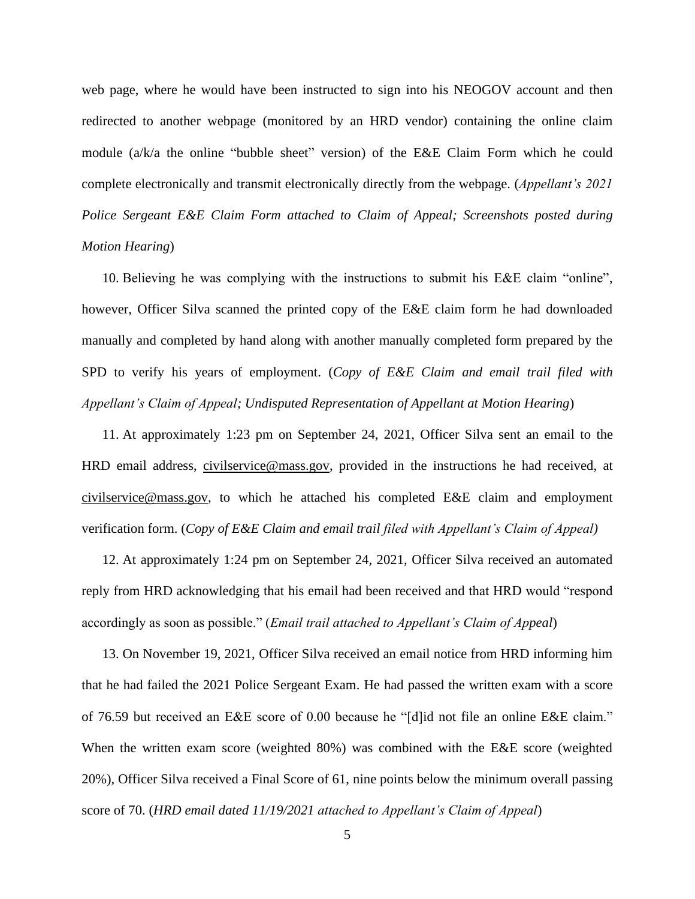web page, where he would have been instructed to sign into his NEOGOV account and then redirected to another webpage (monitored by an HRD vendor) containing the online claim module (a/k/a the online "bubble sheet" version) of the E&E Claim Form which he could complete electronically and transmit electronically directly from the webpage. (*Appellant's 2021 Police Sergeant E&E Claim Form attached to Claim of Appeal; Screenshots posted during Motion Hearing*)

10. Believing he was complying with the instructions to submit his E&E claim "online", however, Officer Silva scanned the printed copy of the E&E claim form he had downloaded manually and completed by hand along with another manually completed form prepared by the SPD to verify his years of employment. (*Copy of E&E Claim and email trail filed with Appellant's Claim of Appeal; Undisputed Representation of Appellant at Motion Hearing*)

11. At approximately 1:23 pm on September 24, 2021, Officer Silva sent an email to the HRD email address, [civilservice@mass.gov,](mailto:civilservice@mass.gov) provided in the instructions he had received, at [civilservice@mass.gov,](mailto:civilservice@mass.gov) to which he attached his completed E&E claim and employment verification form. (*Copy of E&E Claim and email trail filed with Appellant's Claim of Appeal)*

12. At approximately 1:24 pm on September 24, 2021, Officer Silva received an automated reply from HRD acknowledging that his email had been received and that HRD would "respond accordingly as soon as possible." (*Email trail attached to Appellant's Claim of Appeal*)

13. On November 19, 2021, Officer Silva received an email notice from HRD informing him that he had failed the 2021 Police Sergeant Exam. He had passed the written exam with a score of 76.59 but received an E&E score of 0.00 because he "[d]id not file an online E&E claim." When the written exam score (weighted 80%) was combined with the E&E score (weighted 20%), Officer Silva received a Final Score of 61, nine points below the minimum overall passing score of 70. (*HRD email dated 11/19/2021 attached to Appellant's Claim of Appeal*)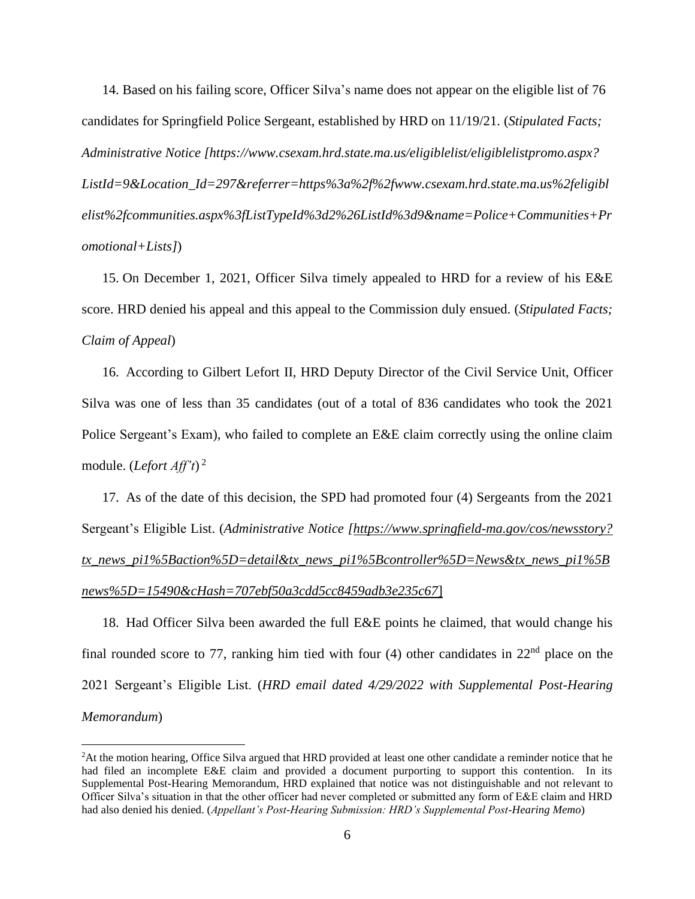14. Based on his failing score, Officer Silva's name does not appear on the eligible list of 76 candidates for Springfield Police Sergeant, established by HRD on 11/19/21. (*Stipulated Facts; Administrative Notice [https://www.csexam.hrd.state.ma.us/eligiblelist/eligiblelistpromo.aspx? ListId=9&Location\_Id=297&referrer=https%3a%2f%2fwww.csexam.hrd.state.ma.us%2feligibl elist%2fcommunities.aspx%3fListTypeId%3d2%26ListId%3d9&name=Police+Communities+Pr omotional+Lists]*)

15. On December 1, 2021, Officer Silva timely appealed to HRD for a review of his E&E score. HRD denied his appeal and this appeal to the Commission duly ensued. (*Stipulated Facts; Claim of Appeal*)

16. According to Gilbert Lefort II, HRD Deputy Director of the Civil Service Unit, Officer Silva was one of less than 35 candidates (out of a total of 836 candidates who took the 2021 Police Sergeant's Exam), who failed to complete an E&E claim correctly using the online claim module. (*Lefort Aff't*) 2

17. As of the date of this decision, the SPD had promoted four (4) Sergeants from the 2021 Sergeant's Eligible List. (*Administrative Notice [https://www.springfield-ma.gov/cos/newsstory? tx\_news\_pi1%5Baction%5D=detail&tx\_news\_pi1%5Bcontroller%5D=News&tx\_news\_pi1%5B news%5D=15490&cHash=707ebf50a3cdd5cc8459adb3e235c67*]

18. Had Officer Silva been awarded the full E&E points he claimed, that would change his final rounded score to 77, ranking him tied with four (4) other candidates in  $22<sup>nd</sup>$  place on the 2021 Sergeant's Eligible List. (*HRD email dated 4/29/2022 with Supplemental Post-Hearing Memorandum*)

<sup>&</sup>lt;sup>2</sup>At the motion hearing, Office Silva argued that HRD provided at least one other candidate a reminder notice that he had filed an incomplete E&E claim and provided a document purporting to support this contention. In its Supplemental Post-Hearing Memorandum, HRD explained that notice was not distinguishable and not relevant to Officer Silva's situation in that the other officer had never completed or submitted any form of E&E claim and HRD had also denied his denied. (*Appellant's Post-Hearing Submission: HRD's Supplemental Post-Hearing Memo*)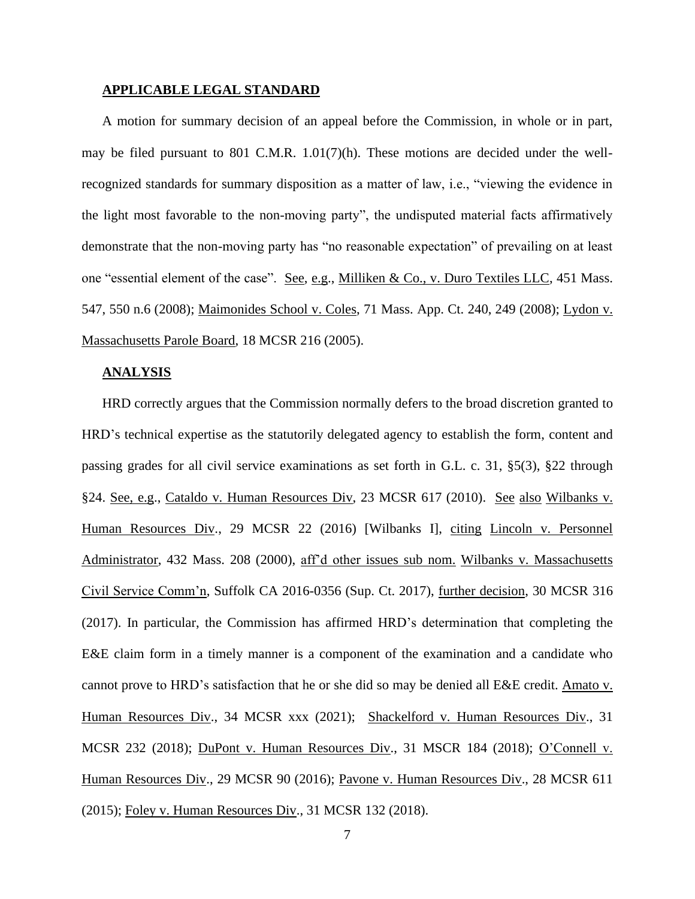### **APPLICABLE LEGAL STANDARD**

A motion for summary decision of an appeal before the Commission, in whole or in part, may be filed pursuant to 801 C.M.R.  $1.01(7)(h)$ . These motions are decided under the wellrecognized standards for summary disposition as a matter of law, i.e., "viewing the evidence in the light most favorable to the non-moving party", the undisputed material facts affirmatively demonstrate that the non-moving party has "no reasonable expectation" of prevailing on at least one "essential element of the case". See, e.g., Milliken & Co., v. Duro Textiles LLC, 451 Mass. 547, 550 n.6 (2008); Maimonides School v. Coles, 71 Mass. App. Ct. 240, 249 (2008); Lydon v. Massachusetts Parole Board, 18 MCSR 216 (2005).

### **ANALYSIS**

HRD correctly argues that the Commission normally defers to the broad discretion granted to HRD's technical expertise as the statutorily delegated agency to establish the form, content and passing grades for all civil service examinations as set forth in G.L. c. 31, §5(3), §22 through §24. See, e.g., Cataldo v. Human Resources Div, 23 MCSR 617 (2010). See also Wilbanks v. Human Resources Div., 29 MCSR 22 (2016) [Wilbanks I], citing Lincoln v. Personnel Administrator, 432 Mass. 208 (2000), aff'd other issues sub nom. Wilbanks v. Massachusetts Civil Service Comm'n, Suffolk CA 2016-0356 (Sup. Ct. 2017), further decision, 30 MCSR 316 (2017). In particular, the Commission has affirmed HRD's determination that completing the E&E claim form in a timely manner is a component of the examination and a candidate who cannot prove to HRD's satisfaction that he or she did so may be denied all E&E credit. Amato v. Human Resources Div., 34 MCSR xxx (2021); Shackelford v. Human Resources Div., 31 MCSR 232 (2018); DuPont v. Human Resources Div., 31 MSCR 184 (2018); O'Connell v. Human Resources Div., 29 MCSR 90 (2016); Pavone v. Human Resources Div., 28 MCSR 611 (2015); Foley v. Human Resources Div., 31 MCSR 132 (2018).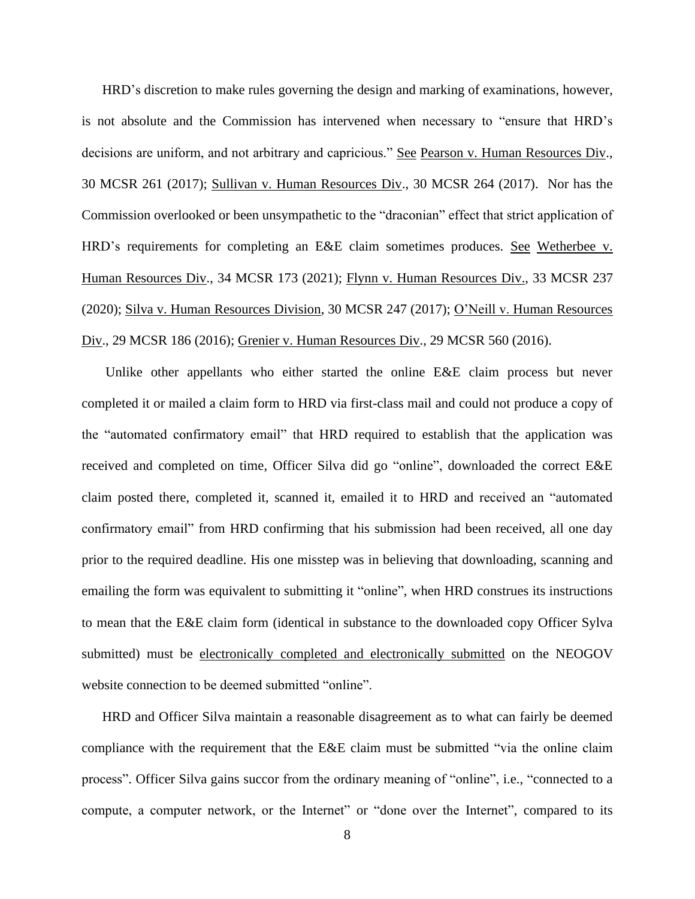HRD's discretion to make rules governing the design and marking of examinations, however, is not absolute and the Commission has intervened when necessary to "ensure that HRD's decisions are uniform, and not arbitrary and capricious." See Pearson v. Human Resources Div., 30 MCSR 261 (2017); Sullivan v. Human Resources Div., 30 MCSR 264 (2017). Nor has the Commission overlooked or been unsympathetic to the "draconian" effect that strict application of HRD's requirements for completing an E&E claim sometimes produces. See Wetherbee v. Human Resources Div., 34 MCSR 173 (2021); Flynn v. Human Resources Div., 33 MCSR 237 (2020); Silva v. Human Resources Division, 30 MCSR 247 (2017); O'Neill v. Human Resources Div., 29 MCSR 186 (2016); Grenier v. Human Resources Div., 29 MCSR 560 (2016).

Unlike other appellants who either started the online E&E claim process but never completed it or mailed a claim form to HRD via first-class mail and could not produce a copy of the "automated confirmatory email" that HRD required to establish that the application was received and completed on time, Officer Silva did go "online", downloaded the correct E&E claim posted there, completed it, scanned it, emailed it to HRD and received an "automated confirmatory email" from HRD confirming that his submission had been received, all one day prior to the required deadline. His one misstep was in believing that downloading, scanning and emailing the form was equivalent to submitting it "online", when HRD construes its instructions to mean that the E&E claim form (identical in substance to the downloaded copy Officer Sylva submitted) must be electronically completed and electronically submitted on the NEOGOV website connection to be deemed submitted "online".

HRD and Officer Silva maintain a reasonable disagreement as to what can fairly be deemed compliance with the requirement that the E&E claim must be submitted "via the online claim process". Officer Silva gains succor from the ordinary meaning of "online", i.e., "connected to a compute, a computer network, or the Internet" or "done over the Internet", compared to its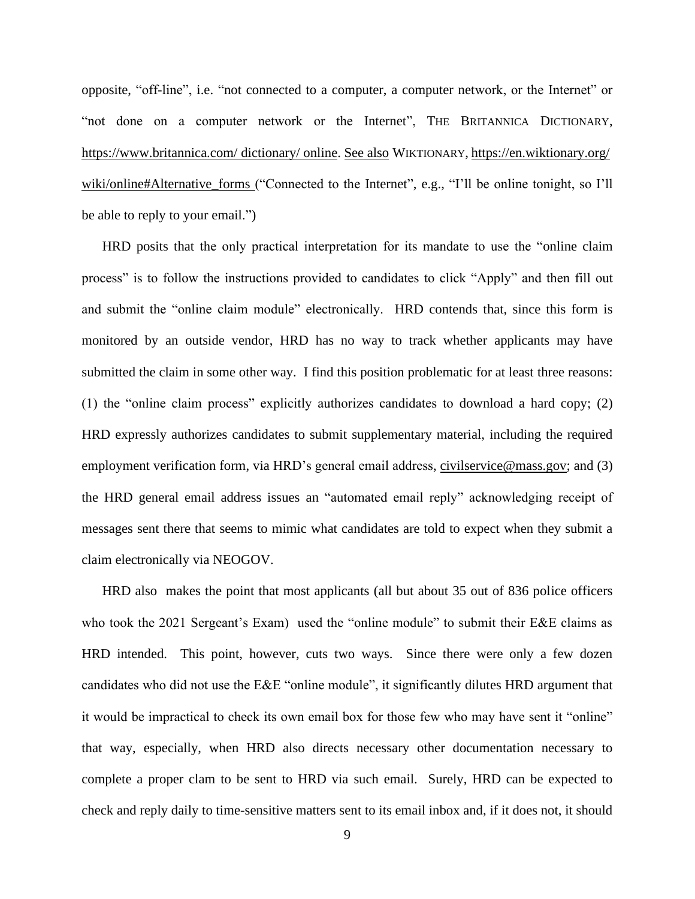opposite, "off-line", i.e. "not connected to a computer, a computer network, or the Internet" or "not done on a computer network or the Internet", THE BRITANNICA DICTIONARY, <https://www.britannica.com/> dictionary/ online. See also WIKTIONARY, <https://en.wiktionary.org/> wiki/online#Alternative\_forms ("Connected to the Internet", e.g., "I'll be online tonight, so I'll be able to reply to your email.")

HRD posits that the only practical interpretation for its mandate to use the "online claim process" is to follow the instructions provided to candidates to click "Apply" and then fill out and submit the "online claim module" electronically. HRD contends that, since this form is monitored by an outside vendor, HRD has no way to track whether applicants may have submitted the claim in some other way. I find this position problematic for at least three reasons: (1) the "online claim process" explicitly authorizes candidates to download a hard copy; (2) HRD expressly authorizes candidates to submit supplementary material, including the required employment verification form, via HRD's general email address, [civilservice@mass.gov;](mailto:civilservice@mass.gov) and (3) the HRD general email address issues an "automated email reply" acknowledging receipt of messages sent there that seems to mimic what candidates are told to expect when they submit a claim electronically via NEOGOV.

HRD also makes the point that most applicants (all but about 35 out of 836 police officers who took the 2021 Sergeant's Exam) used the "online module" to submit their E&E claims as HRD intended. This point, however, cuts two ways. Since there were only a few dozen candidates who did not use the E&E "online module", it significantly dilutes HRD argument that it would be impractical to check its own email box for those few who may have sent it "online" that way, especially, when HRD also directs necessary other documentation necessary to complete a proper clam to be sent to HRD via such email. Surely, HRD can be expected to check and reply daily to time-sensitive matters sent to its email inbox and, if it does not, it should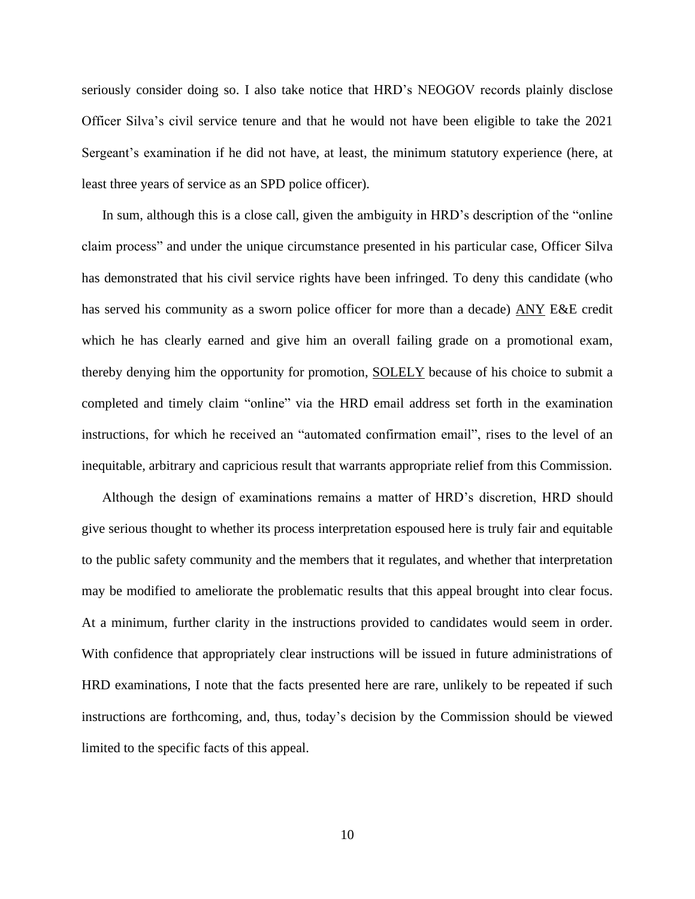seriously consider doing so. I also take notice that HRD's NEOGOV records plainly disclose Officer Silva's civil service tenure and that he would not have been eligible to take the 2021 Sergeant's examination if he did not have, at least, the minimum statutory experience (here, at least three years of service as an SPD police officer).

In sum, although this is a close call, given the ambiguity in HRD's description of the "online claim process" and under the unique circumstance presented in his particular case, Officer Silva has demonstrated that his civil service rights have been infringed. To deny this candidate (who has served his community as a sworn police officer for more than a decade) ANY E&E credit which he has clearly earned and give him an overall failing grade on a promotional exam, thereby denying him the opportunity for promotion, SOLELY because of his choice to submit a completed and timely claim "online" via the HRD email address set forth in the examination instructions, for which he received an "automated confirmation email", rises to the level of an inequitable, arbitrary and capricious result that warrants appropriate relief from this Commission.

Although the design of examinations remains a matter of HRD's discretion, HRD should give serious thought to whether its process interpretation espoused here is truly fair and equitable to the public safety community and the members that it regulates, and whether that interpretation may be modified to ameliorate the problematic results that this appeal brought into clear focus. At a minimum, further clarity in the instructions provided to candidates would seem in order. With confidence that appropriately clear instructions will be issued in future administrations of HRD examinations, I note that the facts presented here are rare, unlikely to be repeated if such instructions are forthcoming, and, thus, today's decision by the Commission should be viewed limited to the specific facts of this appeal.